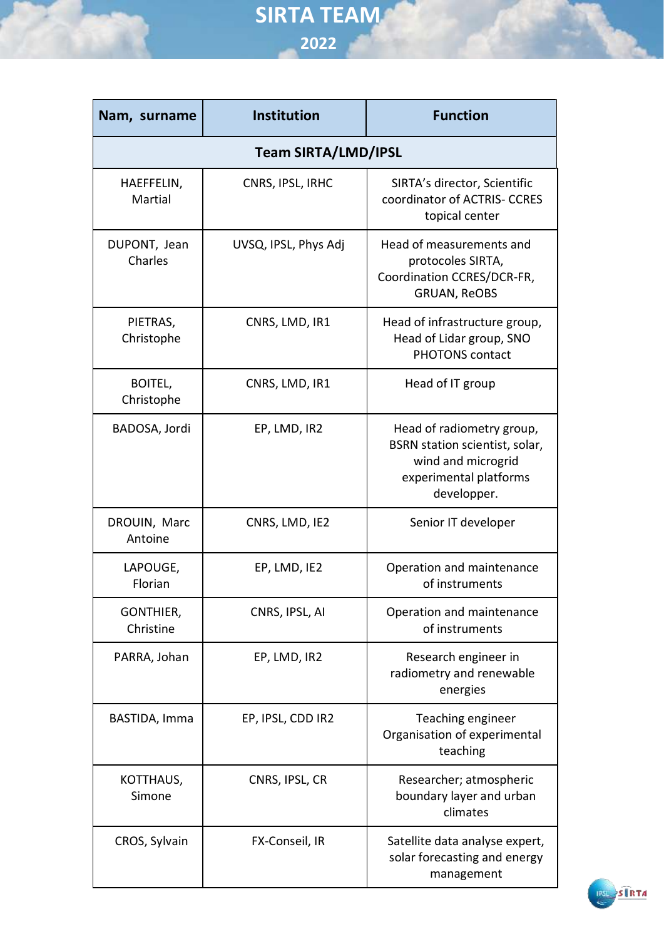| Nam, surname                 | Institution          | <b>Function</b>                                                                                                            |  |  |
|------------------------------|----------------------|----------------------------------------------------------------------------------------------------------------------------|--|--|
| <b>Team SIRTA/LMD/IPSL</b>   |                      |                                                                                                                            |  |  |
| HAEFFELIN,<br>Martial        | CNRS, IPSL, IRHC     | SIRTA's director, Scientific<br>coordinator of ACTRIS- CCRES<br>topical center                                             |  |  |
| DUPONT, Jean<br>Charles      | UVSQ, IPSL, Phys Adj | Head of measurements and<br>protocoles SIRTA,<br>Coordination CCRES/DCR-FR,<br><b>GRUAN, ReOBS</b>                         |  |  |
| PIETRAS,<br>Christophe       | CNRS, LMD, IR1       | Head of infrastructure group,<br>Head of Lidar group, SNO<br><b>PHOTONS contact</b>                                        |  |  |
| <b>BOITEL,</b><br>Christophe | CNRS, LMD, IR1       | Head of IT group                                                                                                           |  |  |
| BADOSA, Jordi                | EP, LMD, IR2         | Head of radiometry group,<br>BSRN station scientist, solar,<br>wind and microgrid<br>experimental platforms<br>developper. |  |  |
| DROUIN, Marc<br>Antoine      | CNRS, LMD, IE2       | Senior IT developer                                                                                                        |  |  |
| LAPOUGE,<br>Florian          | EP, LMD, IE2         | Operation and maintenance<br>of instruments                                                                                |  |  |
| GONTHIER,<br>Christine       | CNRS, IPSL, AI       | Operation and maintenance<br>of instruments                                                                                |  |  |
| PARRA, Johan                 | EP, LMD, IR2         | Research engineer in<br>radiometry and renewable<br>energies                                                               |  |  |
| BASTIDA, Imma                | EP, IPSL, CDD IR2    | Teaching engineer<br>Organisation of experimental<br>teaching                                                              |  |  |
| KOTTHAUS,<br>Simone          | CNRS, IPSL, CR       | Researcher; atmospheric<br>boundary layer and urban<br>climates                                                            |  |  |
| CROS, Sylvain                | FX-Conseil, IR       | Satellite data analyse expert,<br>solar forecasting and energy<br>management                                               |  |  |

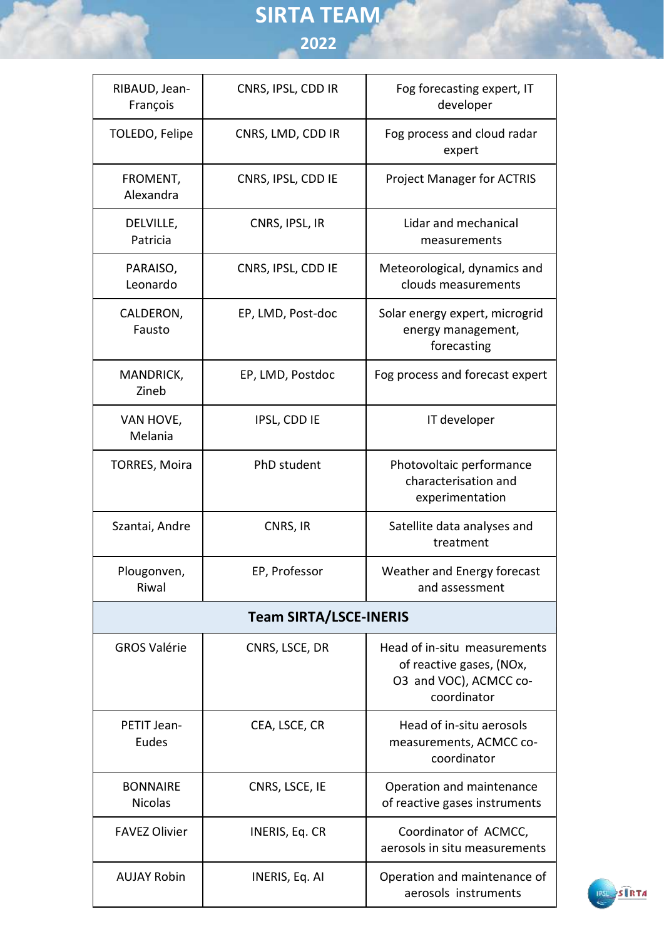| RIBAUD, Jean-<br>François         | CNRS, IPSL, CDD IR | Fog forecasting expert, IT<br>developer                                                           |  |  |
|-----------------------------------|--------------------|---------------------------------------------------------------------------------------------------|--|--|
| TOLEDO, Felipe                    | CNRS, LMD, CDD IR  | Fog process and cloud radar<br>expert                                                             |  |  |
| FROMENT,<br>Alexandra             | CNRS, IPSL, CDD IE | <b>Project Manager for ACTRIS</b>                                                                 |  |  |
| DELVILLE,<br>Patricia             | CNRS, IPSL, IR     | Lidar and mechanical<br>measurements                                                              |  |  |
| PARAISO,<br>Leonardo              | CNRS, IPSL, CDD IE | Meteorological, dynamics and<br>clouds measurements                                               |  |  |
| CALDERON,<br>Fausto               | EP, LMD, Post-doc  | Solar energy expert, microgrid<br>energy management,<br>forecasting                               |  |  |
| MANDRICK,<br>Zineb                | EP, LMD, Postdoc   | Fog process and forecast expert                                                                   |  |  |
| VAN HOVE,<br>Melania              | IPSL, CDD IE       | IT developer                                                                                      |  |  |
| <b>TORRES, Moira</b>              | PhD student        | Photovoltaic performance<br>characterisation and<br>experimentation                               |  |  |
| Szantai, Andre                    | CNRS, IR           | Satellite data analyses and<br>treatment                                                          |  |  |
| Plougonven,<br>Riwal              | EP, Professor      | Weather and Energy forecast<br>and assessment                                                     |  |  |
| <b>Team SIRTA/LSCE-INERIS</b>     |                    |                                                                                                   |  |  |
| <b>GROS Valérie</b>               | CNRS, LSCE, DR     | Head of in-situ measurements<br>of reactive gases, (NOx,<br>O3 and VOC), ACMCC co-<br>coordinator |  |  |
| PETIT Jean-<br>Eudes              | CEA, LSCE, CR      | Head of in-situ aerosols<br>measurements, ACMCC co-<br>coordinator                                |  |  |
| <b>BONNAIRE</b><br><b>Nicolas</b> | CNRS, LSCE, IE     | Operation and maintenance<br>of reactive gases instruments                                        |  |  |
| <b>FAVEZ Olivier</b>              | INERIS, Eq. CR     | Coordinator of ACMCC,<br>aerosols in situ measurements                                            |  |  |
| <b>AUJAY Robin</b>                | INERIS, Eq. AI     | Operation and maintenance of<br>aerosols instruments                                              |  |  |

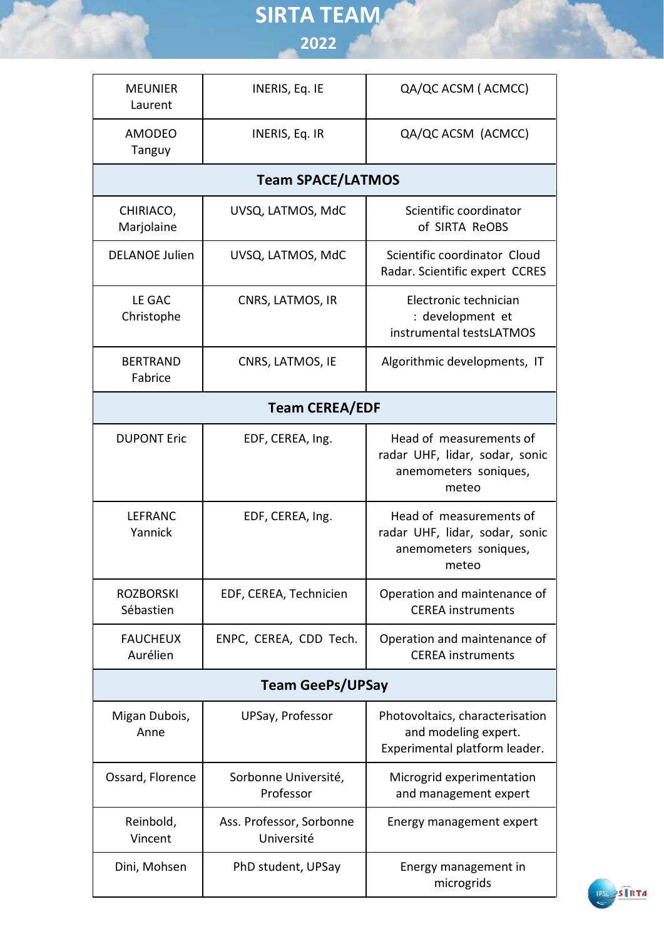| <b>MEUNIER</b><br>Laurent     | INERIS, Eq. IE                         | QA/QC ACSM (ACMCC)                                                                          |  |  |
|-------------------------------|----------------------------------------|---------------------------------------------------------------------------------------------|--|--|
| <b>AMODEO</b><br>Tanguy       | INERIS, Eq. IR                         | QA/QC ACSM (ACMCC)                                                                          |  |  |
| <b>Team SPACE/LATMOS</b>      |                                        |                                                                                             |  |  |
| CHIRIACO,<br>Marjolaine       | UVSQ, LATMOS, MdC                      | Scientific coordinator<br>of SIRTA ReOBS                                                    |  |  |
| <b>DELANOE Julien</b>         | UVSQ, LATMOS, MdC                      | Scientific coordinator Cloud<br>Radar. Scientific expert CCRES                              |  |  |
| LE GAC<br>Christophe          | CNRS, LATMOS, IR                       | Electronic technician<br>: development et<br>instrumental testsLATMOS                       |  |  |
| <b>BERTRAND</b><br>Fabrice    | CNRS, LATMOS, IE                       | Algorithmic developments, IT                                                                |  |  |
| <b>Team CEREA/EDF</b>         |                                        |                                                                                             |  |  |
| <b>DUPONT Eric</b>            | EDF, CEREA, Ing.                       | Head of measurements of<br>radar UHF, lidar, sodar, sonic<br>anemometers soniques,<br>meteo |  |  |
| <b>LEFRANC</b><br>Yannick     | EDF, CEREA, Ing.                       | Head of measurements of<br>radar UHF, lidar, sodar, sonic<br>anemometers soniques,<br>meteo |  |  |
| <b>ROZBORSKI</b><br>Sébastien | EDF, CEREA, Technicien                 | Operation and maintenance of<br><b>CEREA</b> instruments                                    |  |  |
| <b>FAUCHEUX</b><br>Aurélien   | ENPC, CEREA, CDD Tech.                 | Operation and maintenance of<br><b>CEREA</b> instruments                                    |  |  |
| <b>Team GeePs/UPSay</b>       |                                        |                                                                                             |  |  |
| Migan Dubois,<br>Anne         | UPSay, Professor                       | Photovoltaics, characterisation<br>and modeling expert.<br>Experimental platform leader.    |  |  |
| Ossard, Florence              | Sorbonne Université,<br>Professor      | Microgrid experimentation<br>and management expert                                          |  |  |
| Reinbold,<br>Vincent          | Ass. Professor, Sorbonne<br>Université | Energy management expert                                                                    |  |  |
| Dini, Mohsen                  | PhD student, UPSay                     | Energy management in<br>microgrids                                                          |  |  |